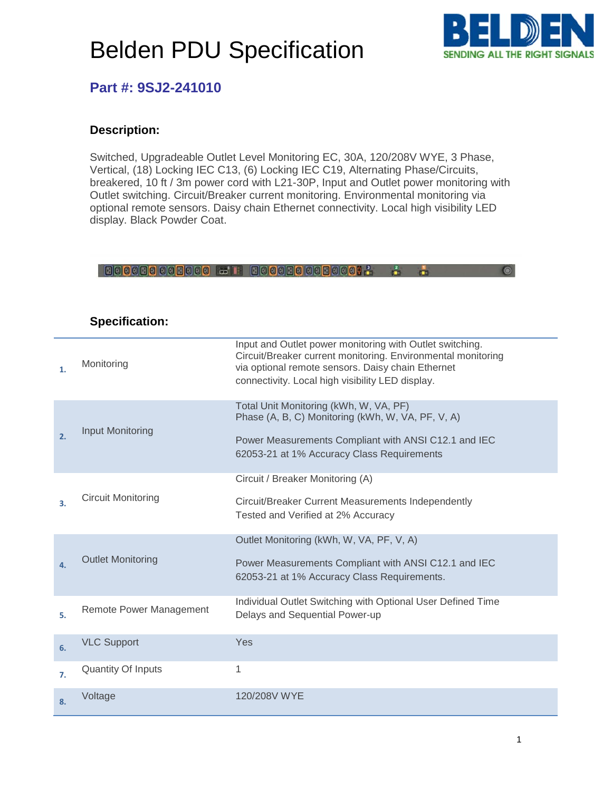

 $\bullet$ 

### **Part #: 9SJ2-241010**

### **Description:**

Switched, Upgradeable Outlet Level Monitoring EC, 30A, 120/208V WYE, 3 Phase, Vertical, (18) Locking IEC C13, (6) Locking IEC C19, Alternating Phase/Circuits, breakered, 10 ft / 3m power cord with L21-30P, Input and Outlet power monitoring with Outlet switching. Circuit/Breaker current monitoring. Environmental monitoring via optional remote sensors. Daisy chain Ethernet connectivity. Local high visibility LED display. Black Powder Coat.

#### 

| 1. | Monitoring                | Input and Outlet power monitoring with Outlet switching.<br>Circuit/Breaker current monitoring. Environmental monitoring<br>via optional remote sensors. Daisy chain Ethernet<br>connectivity. Local high visibility LED display. |
|----|---------------------------|-----------------------------------------------------------------------------------------------------------------------------------------------------------------------------------------------------------------------------------|
| 2. | Input Monitoring          | Total Unit Monitoring (kWh, W, VA, PF)<br>Phase (A, B, C) Monitoring (kWh, W, VA, PF, V, A)<br>Power Measurements Compliant with ANSI C12.1 and IEC<br>62053-21 at 1% Accuracy Class Requirements                                 |
| 3. | <b>Circuit Monitoring</b> | Circuit / Breaker Monitoring (A)<br>Circuit/Breaker Current Measurements Independently<br>Tested and Verified at 2% Accuracy                                                                                                      |
| 4. | <b>Outlet Monitoring</b>  | Outlet Monitoring (kWh, W, VA, PF, V, A)<br>Power Measurements Compliant with ANSI C12.1 and IEC<br>62053-21 at 1% Accuracy Class Requirements.                                                                                   |
| 5. | Remote Power Management   | Individual Outlet Switching with Optional User Defined Time<br>Delays and Sequential Power-up                                                                                                                                     |
| 6. | <b>VLC Support</b>        | Yes                                                                                                                                                                                                                               |
| 7. | <b>Quantity Of Inputs</b> | 1                                                                                                                                                                                                                                 |
| 8. | Voltage                   | 120/208V WYE                                                                                                                                                                                                                      |

### **Specification:**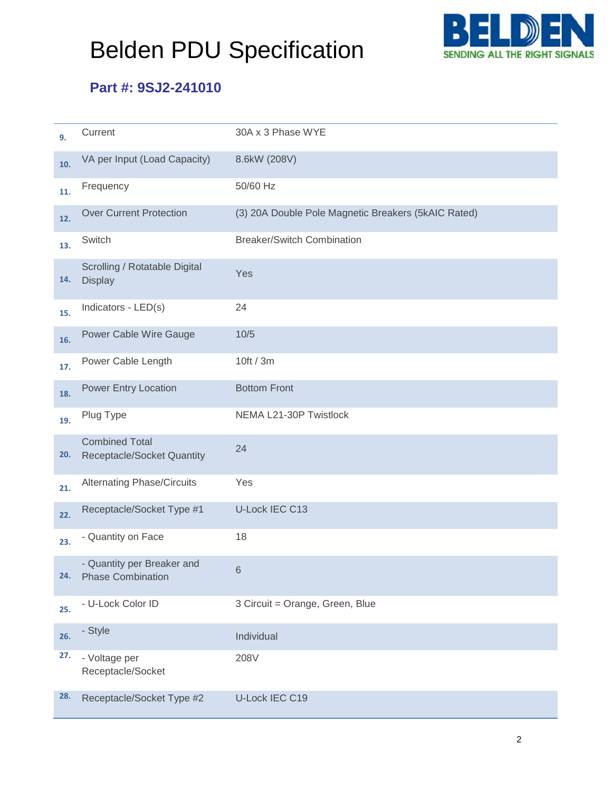

## **Part #: 9SJ2-241010**

| 9.  | Current                                                    | 30A x 3 Phase WYE                                   |
|-----|------------------------------------------------------------|-----------------------------------------------------|
| 10. | VA per Input (Load Capacity)                               | 8.6kW (208V)                                        |
| 11. | Frequency                                                  | 50/60 Hz                                            |
| 12. | <b>Over Current Protection</b>                             | (3) 20A Double Pole Magnetic Breakers (5kAIC Rated) |
| 13. | Switch                                                     | <b>Breaker/Switch Combination</b>                   |
| 14. | Scrolling / Rotatable Digital<br><b>Display</b>            | Yes                                                 |
| 15. | Indicators - LED(s)                                        | 24                                                  |
| 16. | Power Cable Wire Gauge                                     | 10/5                                                |
| 17. | Power Cable Length                                         | 10ft / 3m                                           |
| 18. | <b>Power Entry Location</b>                                | <b>Bottom Front</b>                                 |
| 19. | Plug Type                                                  | NEMA L21-30P Twistlock                              |
| 20. | <b>Combined Total</b><br><b>Receptacle/Socket Quantity</b> | 24                                                  |
| 21. | <b>Alternating Phase/Circuits</b>                          | Yes                                                 |
| 22. | Receptacle/Socket Type #1                                  | U-Lock IEC C13                                      |
| 23. | - Quantity on Face                                         | 18                                                  |
| 24. | - Quantity per Breaker and<br><b>Phase Combination</b>     | 6                                                   |
| 25. | - U-Lock Color ID                                          | 3 Circuit = Orange, Green, Blue                     |
| 26. | - Style                                                    | Individual                                          |
| 27. | - Voltage per<br>Receptacle/Socket                         | 208V                                                |
| 28. | Receptacle/Socket Type #2                                  | U-Lock IEC C19                                      |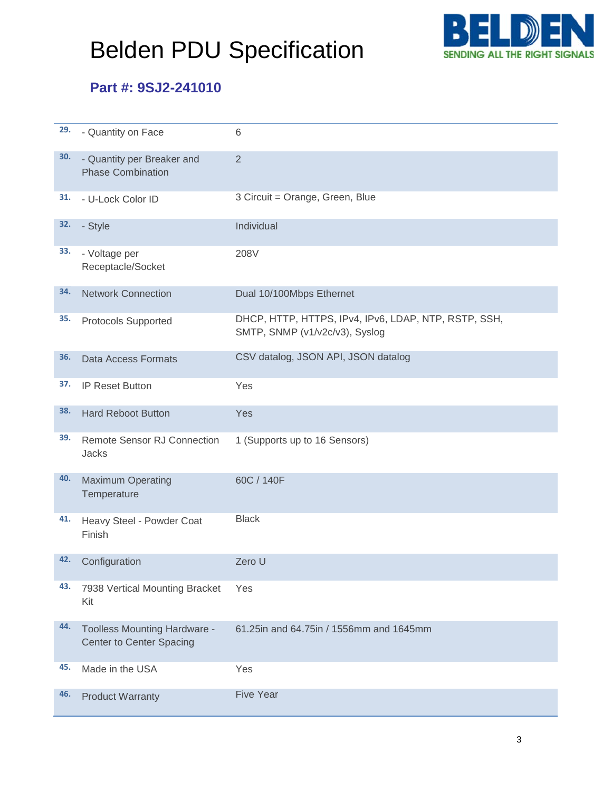

## **Part #: 9SJ2-241010**

| 29. | - Quantity on Face                                              | 6                                                                                      |
|-----|-----------------------------------------------------------------|----------------------------------------------------------------------------------------|
| 30. | - Quantity per Breaker and<br><b>Phase Combination</b>          | $\overline{2}$                                                                         |
| 31. | - U-Lock Color ID                                               | 3 Circuit = Orange, Green, Blue                                                        |
| 32. | - Style                                                         | Individual                                                                             |
| 33. | - Voltage per<br>Receptacle/Socket                              | 208V                                                                                   |
| 34. | <b>Network Connection</b>                                       | Dual 10/100Mbps Ethernet                                                               |
| 35. | Protocols Supported                                             | DHCP, HTTP, HTTPS, IPv4, IPv6, LDAP, NTP, RSTP, SSH,<br>SMTP, SNMP (v1/v2c/v3), Syslog |
| 36. | Data Access Formats                                             | CSV datalog, JSON API, JSON datalog                                                    |
| 37. | <b>IP Reset Button</b>                                          | Yes                                                                                    |
| 38. | <b>Hard Reboot Button</b>                                       | Yes                                                                                    |
| 39. | <b>Remote Sensor RJ Connection</b><br>Jacks                     | 1 (Supports up to 16 Sensors)                                                          |
| 40. | <b>Maximum Operating</b><br>Temperature                         | 60C / 140F                                                                             |
| 41. | Heavy Steel - Powder Coat<br>Finish                             | <b>Black</b>                                                                           |
| 42. | Configuration                                                   | Zero U                                                                                 |
| 43. | 7938 Vertical Mounting Bracket<br>Kit                           | Yes                                                                                    |
| 44. | <b>Toolless Mounting Hardware -</b><br>Center to Center Spacing | 61.25in and 64.75in / 1556mm and 1645mm                                                |
| 45. | Made in the USA                                                 | Yes                                                                                    |
| 46. | <b>Product Warranty</b>                                         | <b>Five Year</b>                                                                       |